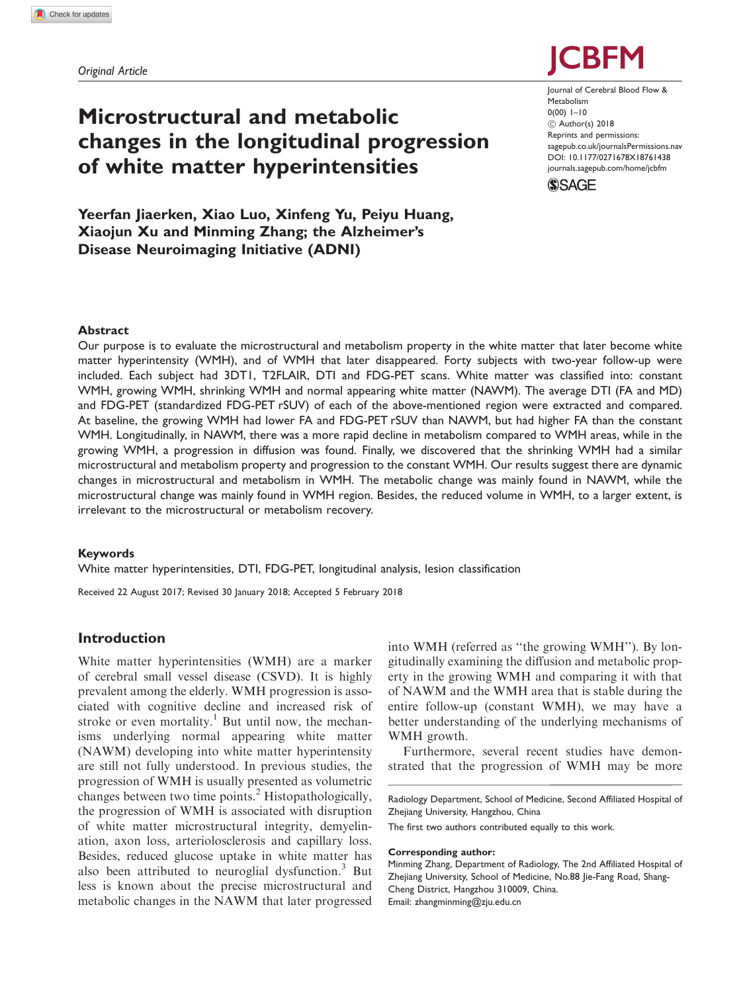# Microstructural and metabolic changes in the longitudinal progression of white matter hyperintensities

Yeerfan Jiaerken, Xiao Luo, Xinfeng Yu, Peiyu Huang, Xiaojun Xu and Minming Zhang; the Alzheimer's Disease Neuroimaging Initiative (ADNI)



Journal of Cerebral Blood Flow & Metabolism  $0(00)$   $1-10$ © Author(s) 2018 Reprints and permissions: [sagepub.co.uk/journalsPermissions.nav](https://uk.sagepub.com/en-gb/journals-permissions) DOI: [10.1177/0271678X18761438](https://doi.org/10.1177/0271678X18761438) <journals.sagepub.com/home/jcbfm>



## Abstract

Our purpose is to evaluate the microstructural and metabolism property in the white matter that later become white matter hyperintensity (WMH), and of WMH that later disappeared. Forty subjects with two-year follow-up were included. Each subject had 3DT1, T2FLAIR, DTI and FDG-PET scans. White matter was classified into: constant WMH, growing WMH, shrinking WMH and normal appearing white matter (NAWM). The average DTI (FA and MD) and FDG-PET (standardized FDG-PET rSUV) of each of the above-mentioned region were extracted and compared. At baseline, the growing WMH had lower FA and FDG-PET rSUV than NAWM, but had higher FA than the constant WMH. Longitudinally, in NAWM, there was a more rapid decline in metabolism compared to WMH areas, while in the growing WMH, a progression in diffusion was found. Finally, we discovered that the shrinking WMH had a similar microstructural and metabolism property and progression to the constant WMH. Our results suggest there are dynamic changes in microstructural and metabolism in WMH. The metabolic change was mainly found in NAWM, while the microstructural change was mainly found in WMH region. Besides, the reduced volume in WMH, to a larger extent, is irrelevant to the microstructural or metabolism recovery.

## Keywords

White matter hyperintensities, DTI, FDG-PET, longitudinal analysis, lesion classification

Received 22 August 2017; Revised 30 January 2018; Accepted 5 February 2018

# Introduction

White matter hyperintensities (WMH) are a marker of cerebral small vessel disease (CSVD). It is highly prevalent among the elderly. WMH progression is associated with cognitive decline and increased risk of stroke or even mortality.<sup>1</sup> But until now, the mechanisms underlying normal appearing white matter (NAWM) developing into white matter hyperintensity are still not fully understood. In previous studies, the progression of WMH is usually presented as volumetric changes between two time points.2 Histopathologically, the progression of WMH is associated with disruption of white matter microstructural integrity, demyelination, axon loss, arteriolosclerosis and capillary loss. Besides, reduced glucose uptake in white matter has also been attributed to neuroglial dysfunction.<sup>3</sup> But less is known about the precise microstructural and metabolic changes in the NAWM that later progressed

into WMH (referred as ''the growing WMH''). By longitudinally examining the diffusion and metabolic property in the growing WMH and comparing it with that of NAWM and the WMH area that is stable during the entire follow-up (constant WMH), we may have a better understanding of the underlying mechanisms of WMH growth.

Furthermore, several recent studies have demonstrated that the progression of WMH may be more

Radiology Department, School of Medicine, Second Affiliated Hospital of Zhejiang University, Hangzhou, China

The first two authors contributed equally to this work.

#### Corresponding author:

Minming Zhang, Department of Radiology, The 2nd Affiliated Hospital of Zhejiang University, School of Medicine, No.88 Jie-Fang Road, Shang-Cheng District, Hangzhou 310009, China. Email: zhangminming@zju.edu.cn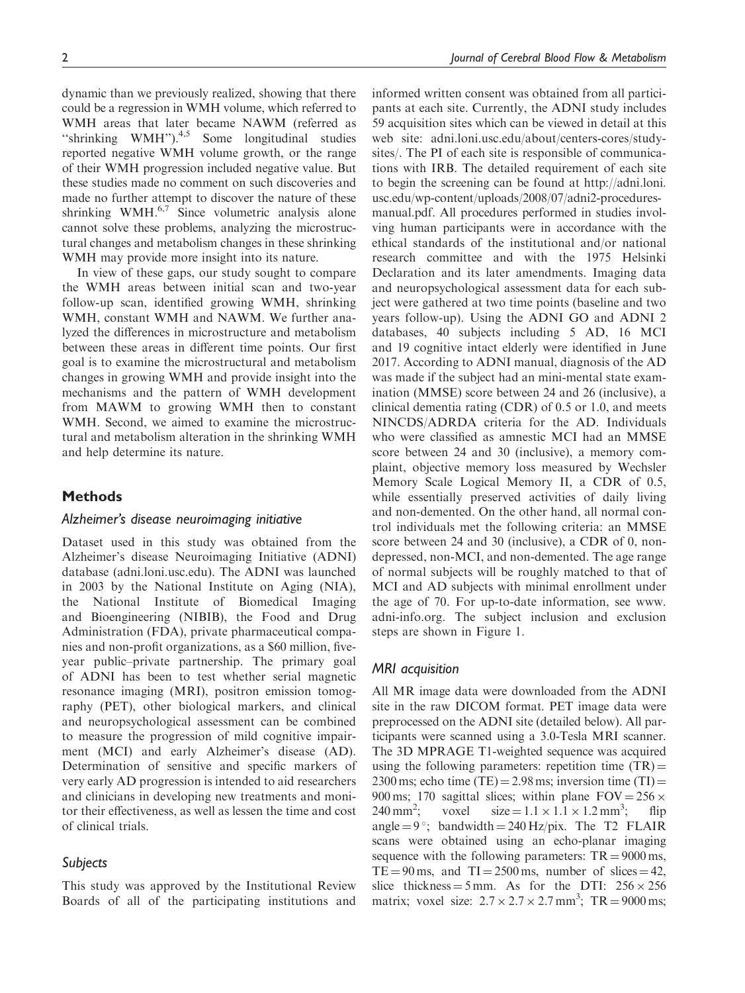dynamic than we previously realized, showing that there could be a regression in WMH volume, which referred to WMH areas that later became NAWM (referred as ''shrinking WMH'').4,5 Some longitudinal studies reported negative WMH volume growth, or the range of their WMH progression included negative value. But these studies made no comment on such discoveries and made no further attempt to discover the nature of these shrinking WMH. $^{6,7}$  Since volumetric analysis alone cannot solve these problems, analyzing the microstructural changes and metabolism changes in these shrinking WMH may provide more insight into its nature.

In view of these gaps, our study sought to compare the WMH areas between initial scan and two-year follow-up scan, identified growing WMH, shrinking WMH, constant WMH and NAWM. We further analyzed the differences in microstructure and metabolism between these areas in different time points. Our first goal is to examine the microstructural and metabolism changes in growing WMH and provide insight into the mechanisms and the pattern of WMH development from MAWM to growing WMH then to constant WMH. Second, we aimed to examine the microstructural and metabolism alteration in the shrinking WMH and help determine its nature.

# Methods

# Alzheimer's disease neuroimaging initiative

Dataset used in this study was obtained from the Alzheimer's disease Neuroimaging Initiative (ADNI) database (<adni.loni.usc.edu>). The ADNI was launched in 2003 by the National Institute on Aging (NIA), the National Institute of Biomedical Imaging and Bioengineering (NIBIB), the Food and Drug Administration (FDA), private pharmaceutical companies and non-profit organizations, as a \$60 million, fiveyear public–private partnership. The primary goal of ADNI has been to test whether serial magnetic resonance imaging (MRI), positron emission tomography (PET), other biological markers, and clinical and neuropsychological assessment can be combined to measure the progression of mild cognitive impairment (MCI) and early Alzheimer's disease (AD). Determination of sensitive and specific markers of very early AD progression is intended to aid researchers and clinicians in developing new treatments and monitor their effectiveness, as well as lessen the time and cost of clinical trials.

## Subjects

This study was approved by the Institutional Review Boards of all of the participating institutions and

informed written consent was obtained from all participants at each site. Currently, the ADNI study includes 59 acquisition sites which can be viewed in detail at this web site: [adni.loni.usc.edu/about/centers-cores/study](adni.loni.usc.edu/about/centers-cores/study-sites/)[sites/.](adni.loni.usc.edu/about/centers-cores/study-sites/) The PI of each site is responsible of communications with IRB. The detailed requirement of each site to begin the screening can be found at [http://adni.loni.](http://adni.loni.usc.edu/wp-content/uploads/2008/07/adni2-procedures-manual.pdf) [usc.edu/wp-content/uploads/2008/07/adni2-procedures](http://adni.loni.usc.edu/wp-content/uploads/2008/07/adni2-procedures-manual.pdf)[manual.pdf.](http://adni.loni.usc.edu/wp-content/uploads/2008/07/adni2-procedures-manual.pdf) All procedures performed in studies involving human participants were in accordance with the ethical standards of the institutional and/or national research committee and with the 1975 Helsinki Declaration and its later amendments. Imaging data and neuropsychological assessment data for each subject were gathered at two time points (baseline and two years follow-up). Using the ADNI GO and ADNI 2 databases, 40 subjects including 5 AD, 16 MCI and 19 cognitive intact elderly were identified in June 2017. According to ADNI manual, diagnosis of the AD was made if the subject had an mini-mental state examination (MMSE) score between 24 and 26 (inclusive), a clinical dementia rating (CDR) of 0.5 or 1.0, and meets NINCDS/ADRDA criteria for the AD. Individuals who were classified as amnestic MCI had an MMSE score between 24 and 30 (inclusive), a memory complaint, objective memory loss measured by Wechsler Memory Scale Logical Memory II, a CDR of 0.5, while essentially preserved activities of daily living and non-demented. On the other hand, all normal control individuals met the following criteria: an MMSE score between 24 and 30 (inclusive), a CDR of 0, nondepressed, non-MCI, and non-demented. The age range of normal subjects will be roughly matched to that of MCI and AD subjects with minimal enrollment under the age of 70. For up-to-date information, see [www.](www.adni-info.org) [adni-info.org.](www.adni-info.org) The subject inclusion and exclusion steps are shown in Figure 1.

## MRI acquisition

All MR image data were downloaded from the ADNI site in the raw DICOM format. PET image data were preprocessed on the ADNI site (detailed below). All participants were scanned using a 3.0-Tesla MRI scanner. The 3D MPRAGE T1-weighted sequence was acquired using the following parameters: repetition time  $(TR)$  = 2300 ms; echo time (TE) = 2.98 ms; inversion time (TI) = 900 ms; 170 sagittal slices; within plane  $FOV = 256 \times$  $240 \,\mathrm{mm}^2$ ;  $\therefore$  voxel  $\text{size} = 1.1 \times 1.1 \times 1.2 \text{ mm}^3$ flip angle =  $9^{\circ}$ ; bandwidth = 240 Hz/pix. The T2 FLAIR scans were obtained using an echo-planar imaging sequence with the following parameters:  $TR = 9000 \text{ ms}$ ,  $TE = 90$  ms, and  $TI = 2500$  ms, number of slices = 42, slice thickness = 5 mm. As for the DTI:  $256 \times 256$ matrix; voxel size:  $2.7 \times 2.7 \times 2.7$  mm<sup>3</sup>; TR = 9000 ms;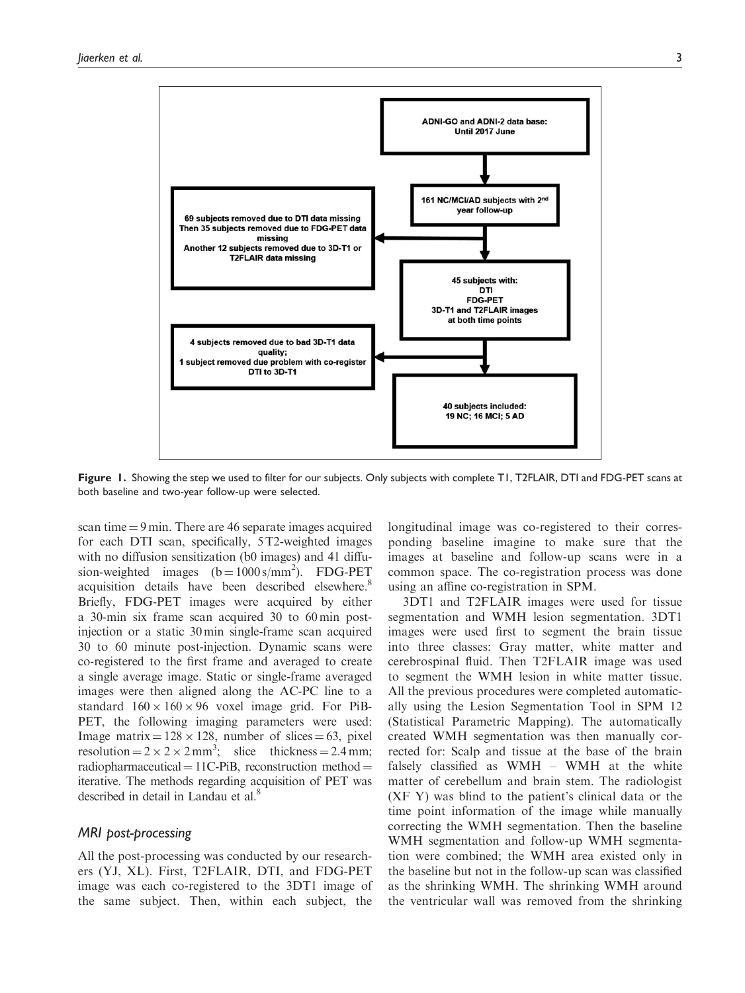

Figure 1. Showing the step we used to filter for our subjects. Only subjects with complete T1, T2FLAIR, DTI and FDG-PET scans at both baseline and two-year follow-up were selected.

scan time  $= 9$  min. There are 46 separate images acquired for each DTI scan, specifically, 5 T2-weighted images with no diffusion sensitization (b0 images) and 41 diffusion-weighted images  $(b = 1000 \text{ s/mm}^2)$ . FDG-PET acquisition details have been described elsewhere.<sup>8</sup> Briefly, FDG-PET images were acquired by either a 30-min six frame scan acquired 30 to 60 min postinjection or a static 30 min single-frame scan acquired 30 to 60 minute post-injection. Dynamic scans were co-registered to the first frame and averaged to create a single average image. Static or single-frame averaged images were then aligned along the AC-PC line to a standard  $160 \times 160 \times 96$  voxel image grid. For PiB-PET, the following imaging parameters were used: Image matrix =  $128 \times 128$ , number of slices = 63, pixel resolution =  $2 \times 2 \times 2$  mm<sup>3</sup>; slice thickness = 2.4 mm; radiopharmaceutical =  $11C-PiB$ , reconstruction method = iterative. The methods regarding acquisition of PET was described in detail in Landau et al.<sup>8</sup>

## MRI post-processing

All the post-processing was conducted by our researchers (YJ, XL). First, T2FLAIR, DTI, and FDG-PET image was each co-registered to the 3DT1 image of the same subject. Then, within each subject, the longitudinal image was co-registered to their corresponding baseline imagine to make sure that the images at baseline and follow-up scans were in a common space. The co-registration process was done using an affine co-registration in SPM.

3DT1 and T2FLAIR images were used for tissue segmentation and WMH lesion segmentation. 3DT1 images were used first to segment the brain tissue into three classes: Gray matter, white matter and cerebrospinal fluid. Then T2FLAIR image was used to segment the WMH lesion in white matter tissue. All the previous procedures were completed automatically using the Lesion Segmentation Tool in SPM 12 (Statistical Parametric Mapping). The automatically created WMH segmentation was then manually corrected for: Scalp and tissue at the base of the brain falsely classified as WMH – WMH at the white matter of cerebellum and brain stem. The radiologist (XF Y) was blind to the patient's clinical data or the time point information of the image while manually correcting the WMH segmentation. Then the baseline WMH segmentation and follow-up WMH segmentation were combined; the WMH area existed only in the baseline but not in the follow-up scan was classified as the shrinking WMH. The shrinking WMH around the ventricular wall was removed from the shrinking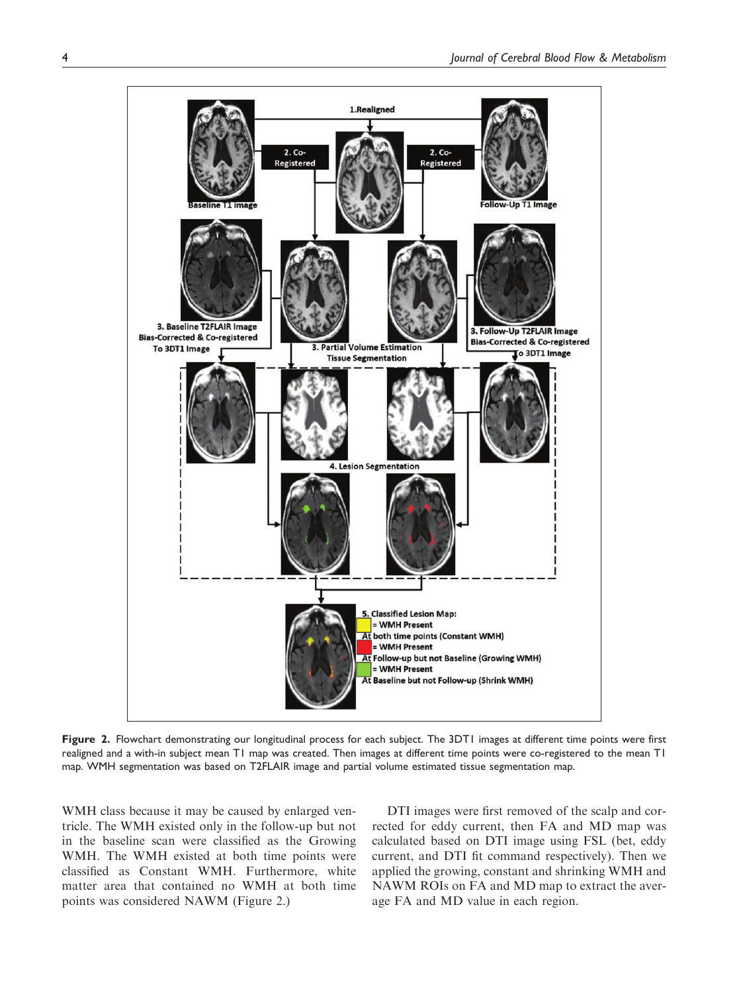

Figure 2. Flowchart demonstrating our longitudinal process for each subject. The 3DT1 images at different time points were first realigned and a with-in subject mean T1 map was created. Then images at different time points were co-registered to the mean T1 map. WMH segmentation was based on T2FLAIR image and partial volume estimated tissue segmentation map.

WMH class because it may be caused by enlarged ventricle. The WMH existed only in the follow-up but not in the baseline scan were classified as the Growing WMH. The WMH existed at both time points were classified as Constant WMH. Furthermore, white matter area that contained no WMH at both time points was considered NAWM (Figure 2.)

DTI images were first removed of the scalp and corrected for eddy current, then FA and MD map was calculated based on DTI image using FSL (bet, eddy current, and DTI fit command respectively). Then we applied the growing, constant and shrinking WMH and NAWM ROIs on FA and MD map to extract the average FA and MD value in each region.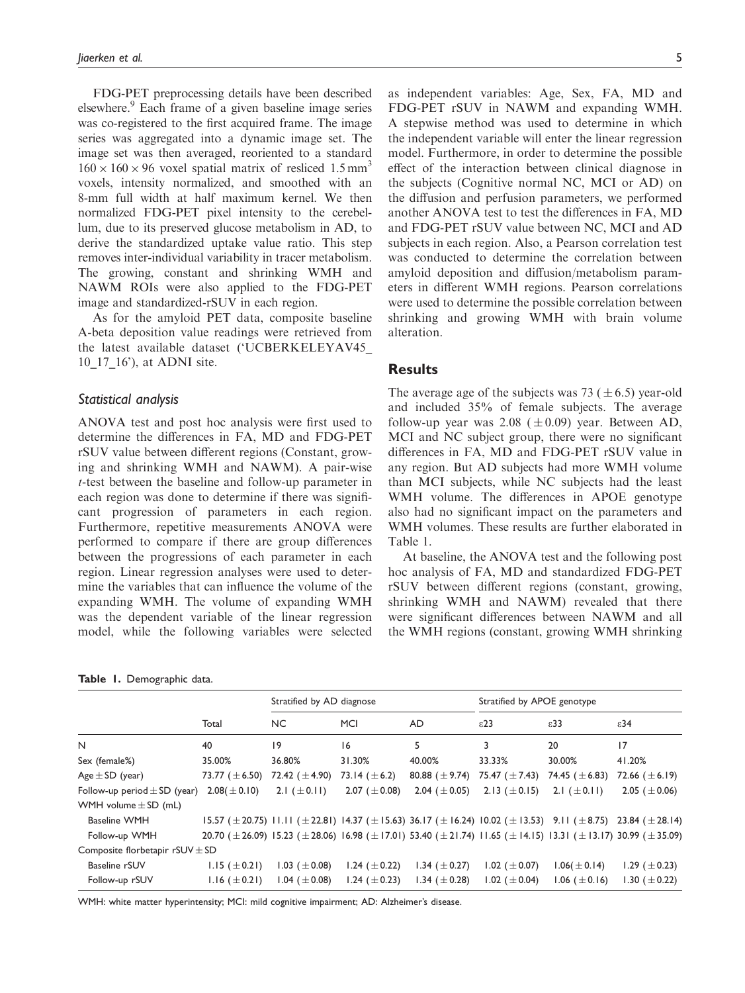FDG-PET preprocessing details have been described elsewhere.9 Each frame of a given baseline image series was co-registered to the first acquired frame. The image series was aggregated into a dynamic image set. The image set was then averaged, reoriented to a standard  $160 \times 160 \times 96$  voxel spatial matrix of resliced 1.5 mm<sup>3</sup> voxels, intensity normalized, and smoothed with an 8-mm full width at half maximum kernel. We then normalized FDG-PET pixel intensity to the cerebellum, due to its preserved glucose metabolism in AD, to derive the standardized uptake value ratio. This step removes inter-individual variability in tracer metabolism. The growing, constant and shrinking WMH and NAWM ROIs were also applied to the FDG-PET image and standardized-rSUV in each region.

As for the amyloid PET data, composite baseline A-beta deposition value readings were retrieved from the latest available dataset ('UCBERKELEYAV45\_ 10\_17\_16'), at ADNI site.

## Statistical analysis

ANOVA test and post hoc analysis were first used to determine the differences in FA, MD and FDG-PET rSUV value between different regions (Constant, growing and shrinking WMH and NAWM). A pair-wise t-test between the baseline and follow-up parameter in each region was done to determine if there was significant progression of parameters in each region. Furthermore, repetitive measurements ANOVA were performed to compare if there are group differences between the progressions of each parameter in each region. Linear regression analyses were used to determine the variables that can influence the volume of the expanding WMH. The volume of expanding WMH was the dependent variable of the linear regression model, while the following variables were selected

|  |  | Table 1. Demographic data. |  |
|--|--|----------------------------|--|
|--|--|----------------------------|--|

as independent variables: Age, Sex, FA, MD and FDG-PET rSUV in NAWM and expanding WMH. A stepwise method was used to determine in which the independent variable will enter the linear regression model. Furthermore, in order to determine the possible

effect of the interaction between clinical diagnose in the subjects (Cognitive normal NC, MCI or AD) on the diffusion and perfusion parameters, we performed another ANOVA test to test the differences in FA, MD and FDG-PET rSUV value between NC, MCI and AD subjects in each region. Also, a Pearson correlation test was conducted to determine the correlation between amyloid deposition and diffusion/metabolism parameters in different WMH regions. Pearson correlations were used to determine the possible correlation between shrinking and growing WMH with brain volume alteration.

## **Results**

The average age of the subjects was 73 ( $\pm$  6.5) year-old and included 35% of female subjects. The average follow-up year was  $2.08 \ (\pm 0.09)$  year. Between AD, MCI and NC subject group, there were no significant differences in FA, MD and FDG-PET rSUV value in any region. But AD subjects had more WMH volume than MCI subjects, while NC subjects had the least WMH volume. The differences in APOE genotype also had no significant impact on the parameters and WMH volumes. These results are further elaborated in Table 1.

At baseline, the ANOVA test and the following post hoc analysis of FA, MD and standardized FDG-PET rSUV between different regions (constant, growing, shrinking WMH and NAWM) revealed that there were significant differences between NAWM and all the WMH regions (constant, growing WMH shrinking

|                                     | Total               | Stratified by AD diagnose |                    |                                                                                                                                                  | Stratified by APOE genotype |                     |                    |
|-------------------------------------|---------------------|---------------------------|--------------------|--------------------------------------------------------------------------------------------------------------------------------------------------|-----------------------------|---------------------|--------------------|
|                                     |                     | NC.                       | <b>MCI</b>         | AD                                                                                                                                               | $\epsilon$ 23               | $\epsilon$ 33       | $\epsilon$ 34      |
| N                                   | 40                  | 19                        | 16                 | 5                                                                                                                                                | 3                           | 20                  | 17                 |
| Sex (female%)                       | 35.00%              | 36.80%                    | 31.30%             | 40.00%                                                                                                                                           | 33.33%                      | 30.00%              | 41.20%             |
| Age $\pm$ SD (year)                 | 73.77 ( $\pm$ 6.50) | 72.42 ( $\pm$ 4.90)       | 73.14 $(\pm 6.2)$  | 80.88 $(\pm 9.74)$                                                                                                                               | 75.47 ( $\pm$ 7.43)         | 74.45 ( $\pm$ 6.83) | 72.66 $(\pm 6.19)$ |
| Follow-up period $\pm$ SD (year)    | $2.08 (\pm 0.10)$   | 2.1 ( $\pm$ 0.11)         | 2.07 ( $\pm$ 0.08) | 2.04 ( $\pm$ 0.05)                                                                                                                               | 2.13 ( $\pm$ 0.15)          | 2.1 ( $\pm$ 0.11)   | 2.05 ( $\pm$ 0.06) |
| WMH volume $\pm$ SD (mL)            |                     |                           |                    |                                                                                                                                                  |                             |                     |                    |
| <b>Baseline WMH</b>                 |                     |                           |                    | 15.57 ( $\pm$ 20.75) 11.11 ( $\pm$ 22.81) 14.37 ( $\pm$ 15.63) 36.17 ( $\pm$ 16.24) 10.02 ( $\pm$ 13.53) 9.11 ( $\pm$ 8.75) 23.84 ( $\pm$ 28.14) |                             |                     |                    |
| Follow-up WMH                       |                     |                           |                    | 20.70 (±26.09) 15.23 (±28.06) 16.98 (±17.01) 53.40 (±21.74) 11.65 (±14.15) 13.31 (±13.17) 30.99 (±35.09)                                         |                             |                     |                    |
| Composite florbetapir $rSUV \pm SD$ |                     |                           |                    |                                                                                                                                                  |                             |                     |                    |
| Baseline rSUV                       | $1.15 \ (\pm 0.21)$ | 1.03 ( $\pm$ 0.08)        | 1.24 ( $\pm$ 0.22) | 1.34 ( $\pm$ 0.27)                                                                                                                               | 1.02 ( $\pm$ 0.07)          | $1.06 (\pm 0.14)$   | 1.29 ( $\pm$ 0.23) |
| Follow-up rSUV                      | 1.16 $(\pm 0.21)$   | 1.04 ( $\pm$ 0.08)        | 1.24 ( $\pm$ 0.23) | 1.34 ( $\pm$ 0.28)                                                                                                                               | 1.02 ( $\pm$ 0.04)          | 1.06 ( $\pm$ 0.16)  | 1.30 ( $\pm$ 0.22) |

WMH: white matter hyperintensity; MCI: mild cognitive impairment; AD: Alzheimer's disease.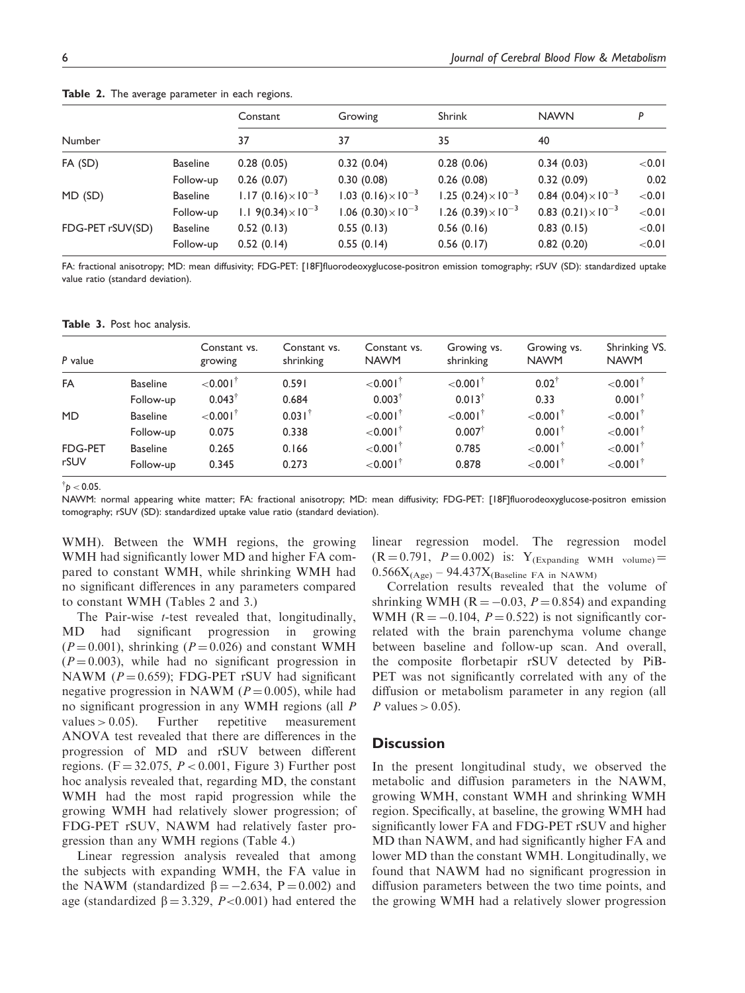|                  |                 | Constant                     | Growing                         | <b>Shrink</b>                | <b>NAWN</b>                  | P      |
|------------------|-----------------|------------------------------|---------------------------------|------------------------------|------------------------------|--------|
| <b>Number</b>    |                 | 37                           | 37                              | 35                           | 40                           |        |
| FA (SD)          | <b>Baseline</b> | 0.28(0.05)                   | 0.32(0.04)                      | 0.28(0.06)                   | 0.34(0.03)                   | < 0.01 |
|                  | Follow-up       | 0.26(0.07)                   | 0.30(0.08)                      | 0.26(0.08)                   | 0.32(0.09)                   | 0.02   |
| MD (SD)          | <b>Baseline</b> | $1.17(0.16)\times10^{-3}$    | 1.03 (0.16) $\times$ 10 $^{-3}$ | 1.25 $(0.24) \times 10^{-3}$ | 0.84 $(0.04) \times 10^{-3}$ | < 0.01 |
|                  | Follow-up       | 1.1 $9(0.34) \times 10^{-3}$ | 1.06 $(0.30) \times 10^{-3}$    | 1.26 $(0.39) \times 10^{-3}$ | $0.83(0.21)\times10^{-3}$    | < 0.01 |
| FDG-PET rSUV(SD) | <b>Baseline</b> | 0.52(0.13)                   | 0.55(0.13)                      | 0.56(0.16)                   | 0.83(0.15)                   | < 0.01 |
|                  | Follow-up       | 0.52(0.14)                   | 0.55(0.14)                      | 0.56(0.17)                   | 0.82(0.20)                   | < 0.01 |

Table 2. The average parameter in each regions.

FA: fractional anisotropy; MD: mean diffusivity; FDG-PET: [18F]fluorodeoxyglucose-positron emission tomography; rSUV (SD): standardized uptake value ratio (standard deviation).

#### Table 3. Post hoc analysis.

| P value        |                 | Constant vs.<br>growing | Constant vs.<br>shrinking | Constant vs.<br><b>NAWM</b> | Growing vs.<br>shrinking | Growing vs.<br><b>NAWM</b> | Shrinking VS.<br><b>NAWM</b> |
|----------------|-----------------|-------------------------|---------------------------|-----------------------------|--------------------------|----------------------------|------------------------------|
| <b>FA</b>      | <b>Baseline</b> | ${<}0.001^{\dagger}$    | 0.591                     | ${<}0.001^{\dagger}$        | ${<}0.001^{\dagger}$     | $0.02^{\dagger}$           | $<$ 0.001 $^{\dagger}$       |
|                | Follow-up       | $0.043^{\dagger}$       | 0.684                     | $0.003^{\dagger}$           | $0.013^{\dagger}$        | 0.33                       | $0.001^{\dagger}$            |
| <b>MD</b>      | <b>Baseline</b> | $<$ 0.001 $^{\dagger}$  | $0.031^{\dagger}$         | $<$ 0.00   $^{\dagger}$     | $<$ 0.001 $^{\dagger}$   | $<$ 0.001 $^{\dagger}$     | $<$ 0.001 $^{\dagger}$       |
|                | Follow-up       | 0.075                   | 0.338                     | ${<}0.001^{\dagger}$        | $0.007^{\dagger}$        | $0.001$ <sup>T</sup>       | $<$ 0.001 $^{\dagger}$       |
| <b>FDG-PET</b> | <b>Baseline</b> | 0.265                   | 0.166                     | ${<}0.001^{\dagger}$        | 0.785                    | ${<}0.001^{\dagger}$       | $<$ 0.001 $^{\dagger}$       |
| rSUV           | Follow-up       | 0.345                   | 0.273                     | ${<}0.001^{\dagger}$        | 0.878                    | ${<}0.001^{\dagger}$       | $<$ 0.001 $^{\dagger}$       |

 $\phi$   $<$  0.05.

NAWM: normal appearing white matter; FA: fractional anisotropy; MD: mean diffusivity; FDG-PET: [18F]fluorodeoxyglucose-positron emission tomography; rSUV (SD): standardized uptake value ratio (standard deviation).

WMH). Between the WMH regions, the growing WMH had significantly lower MD and higher FA compared to constant WMH, while shrinking WMH had no significant differences in any parameters compared to constant WMH (Tables 2 and 3.)

The Pair-wise  $t$ -test revealed that, longitudinally, MD had significant progression in growing  $(P = 0.001)$ , shrinking  $(P = 0.026)$  and constant WMH  $(P = 0.003)$ , while had no significant progression in NAWM ( $P = 0.659$ ); FDG-PET rSUV had significant negative progression in NAWM ( $P = 0.005$ ), while had no significant progression in any WMH regions (all P values  $> 0.05$ ). Further repetitive measurement ANOVA test revealed that there are differences in the progression of MD and rSUV between different regions. (F = 32.075,  $P < 0.001$ , Figure 3) Further post hoc analysis revealed that, regarding MD, the constant WMH had the most rapid progression while the growing WMH had relatively slower progression; of FDG-PET rSUV, NAWM had relatively faster progression than any WMH regions (Table 4.)

Linear regression analysis revealed that among the subjects with expanding WMH, the FA value in the NAWM (standardized  $\beta = -2.634$ , P = 0.002) and age (standardized  $\beta = 3.329$ , P<0.001) had entered the linear regression model. The regression model  $(R = 0.791, P = 0.002)$  is:  $Y_{(Expanding WMH volume)} =$  $0.566X_{(Age)} - 94.437X_{(Baseline FA in NAWM)}$ 

Correlation results revealed that the volume of shrinking WMH ( $R = -0.03$ ,  $P = 0.854$ ) and expanding WMH ( $R = -0.104$ ,  $P = 0.522$ ) is not significantly correlated with the brain parenchyma volume change between baseline and follow-up scan. And overall, the composite florbetapir rSUV detected by PiB-PET was not significantly correlated with any of the diffusion or metabolism parameter in any region (all P values  $> 0.05$ ).

## **Discussion**

In the present longitudinal study, we observed the metabolic and diffusion parameters in the NAWM, growing WMH, constant WMH and shrinking WMH region. Specifically, at baseline, the growing WMH had significantly lower FA and FDG-PET rSUV and higher MD than NAWM, and had significantly higher FA and lower MD than the constant WMH. Longitudinally, we found that NAWM had no significant progression in diffusion parameters between the two time points, and the growing WMH had a relatively slower progression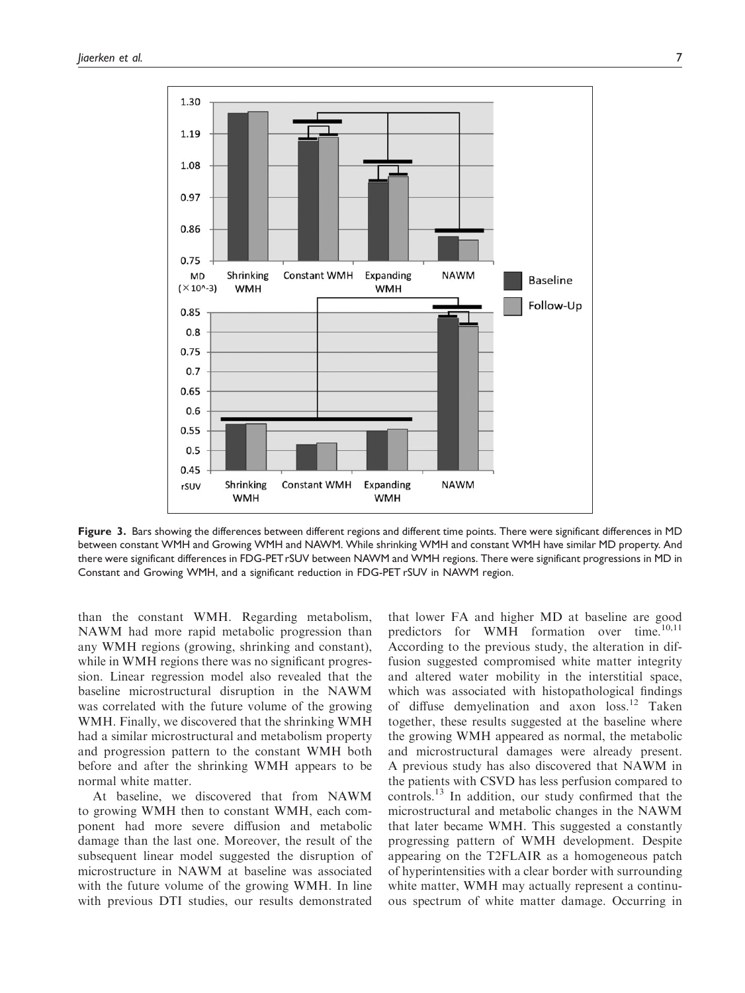

Figure 3. Bars showing the differences between different regions and different time points. There were significant differences in MD between constant WMH and Growing WMH and NAWM. While shrinking WMH and constant WMH have similar MD property. And there were significant differences in FDG-PET rSUV between NAWM and WMH regions. There were significant progressions in MD in Constant and Growing WMH, and a significant reduction in FDG-PET rSUV in NAWM region.

than the constant WMH. Regarding metabolism, NAWM had more rapid metabolic progression than any WMH regions (growing, shrinking and constant), while in WMH regions there was no significant progression. Linear regression model also revealed that the baseline microstructural disruption in the NAWM was correlated with the future volume of the growing WMH. Finally, we discovered that the shrinking WMH had a similar microstructural and metabolism property and progression pattern to the constant WMH both before and after the shrinking WMH appears to be normal white matter.

At baseline, we discovered that from NAWM to growing WMH then to constant WMH, each component had more severe diffusion and metabolic damage than the last one. Moreover, the result of the subsequent linear model suggested the disruption of microstructure in NAWM at baseline was associated with the future volume of the growing WMH. In line with previous DTI studies, our results demonstrated

that lower FA and higher MD at baseline are good predictors for WMH formation over time.<sup>10,11</sup> According to the previous study, the alteration in diffusion suggested compromised white matter integrity and altered water mobility in the interstitial space, which was associated with histopathological findings of diffuse demyelination and axon loss.12 Taken together, these results suggested at the baseline where the growing WMH appeared as normal, the metabolic and microstructural damages were already present. A previous study has also discovered that NAWM in the patients with CSVD has less perfusion compared to controls.<sup>13</sup> In addition, our study confirmed that the microstructural and metabolic changes in the NAWM that later became WMH. This suggested a constantly progressing pattern of WMH development. Despite appearing on the T2FLAIR as a homogeneous patch of hyperintensities with a clear border with surrounding white matter, WMH may actually represent a continuous spectrum of white matter damage. Occurring in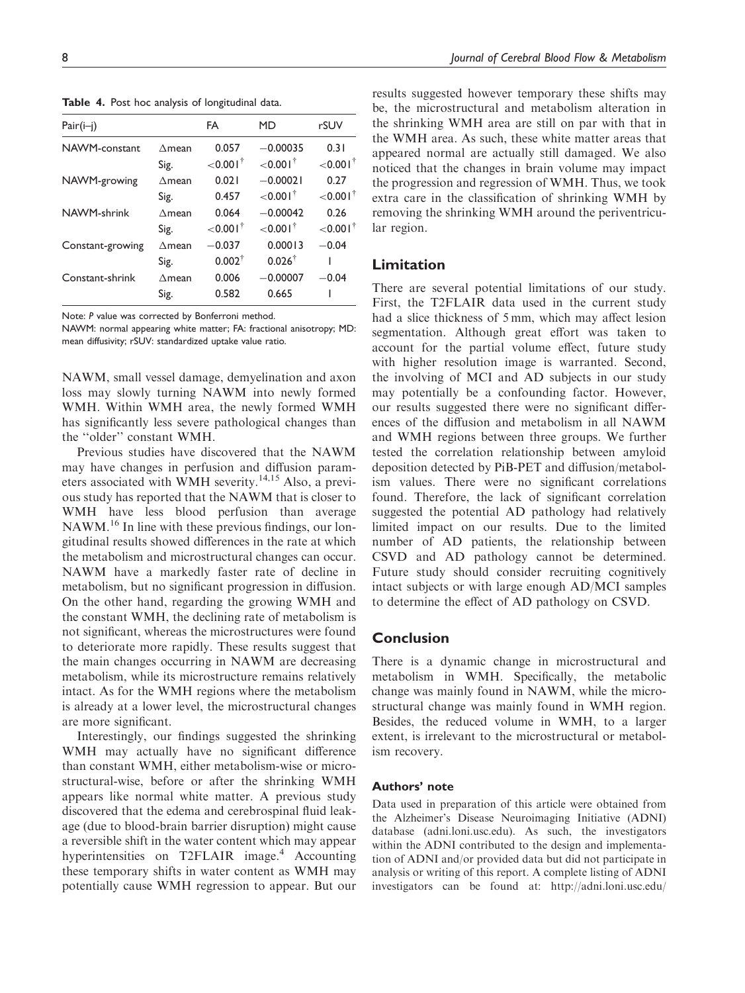| $Pair(i-j)$      |                | FA                      | MD                   | rSUV                   |
|------------------|----------------|-------------------------|----------------------|------------------------|
| NAWM-constant    | $\Lambda$ mean | 0.057                   | $-0.00035$           | 0.31                   |
|                  | Sig.           | ${<}0.001^{\dagger}$    | ${<}0.001^{\dagger}$ | ${<}0.001^{\dagger}$   |
| NAWM-growing     | $\Delta$ mean  | 0.021                   | $-0.00021$           | 0.27                   |
|                  | Sig.           | 0.457                   | ${<}0.001^{\dagger}$ | $<$ 0.001 $^{\dagger}$ |
| NAWM-shrink      | $\Lambda$ mean | 0.064                   | $-0.00042$           | 0.26                   |
|                  | Sig.           | $<$ 0.00 l <sup>†</sup> | ${<}0.001^{\dagger}$ | ${<}0.001^{\dagger}$   |
| Constant-growing | $\Delta$ mean  | $-0.037$                | 0.00013              | $-0.04$                |
|                  | Sig.           | $0.002^{\dagger}$       | $0.026^{\dagger}$    |                        |
| Constant-shrink  | $\Delta$ mean  | 0.006                   | $-0.00007$           | $-0.04$                |
|                  | Sig.           | 0.582                   | 0.665                |                        |

Table 4. Post hoc analysis of longitudinal data.

Note: P value was corrected by Bonferroni method.

NAWM: normal appearing white matter; FA: fractional anisotropy; MD: mean diffusivity; rSUV: standardized uptake value ratio.

NAWM, small vessel damage, demyelination and axon loss may slowly turning NAWM into newly formed WMH. Within WMH area, the newly formed WMH has significantly less severe pathological changes than the ''older'' constant WMH.

Previous studies have discovered that the NAWM may have changes in perfusion and diffusion parameters associated with WMH severity.14,15 Also, a previous study has reported that the NAWM that is closer to WMH have less blood perfusion than average NAWM.<sup>16</sup> In line with these previous findings, our longitudinal results showed differences in the rate at which the metabolism and microstructural changes can occur. NAWM have a markedly faster rate of decline in metabolism, but no significant progression in diffusion. On the other hand, regarding the growing WMH and the constant WMH, the declining rate of metabolism is not significant, whereas the microstructures were found to deteriorate more rapidly. These results suggest that the main changes occurring in NAWM are decreasing metabolism, while its microstructure remains relatively intact. As for the WMH regions where the metabolism is already at a lower level, the microstructural changes are more significant.

Interestingly, our findings suggested the shrinking WMH may actually have no significant difference than constant WMH, either metabolism-wise or microstructural-wise, before or after the shrinking WMH appears like normal white matter. A previous study discovered that the edema and cerebrospinal fluid leakage (due to blood-brain barrier disruption) might cause a reversible shift in the water content which may appear hyperintensities on T2FLAIR image.<sup>4</sup> Accounting these temporary shifts in water content as WMH may potentially cause WMH regression to appear. But our results suggested however temporary these shifts may be, the microstructural and metabolism alteration in the shrinking WMH area are still on par with that in the WMH area. As such, these white matter areas that appeared normal are actually still damaged. We also noticed that the changes in brain volume may impact the progression and regression of WMH. Thus, we took extra care in the classification of shrinking WMH by removing the shrinking WMH around the periventricular region.

## Limitation

There are several potential limitations of our study. First, the T2FLAIR data used in the current study had a slice thickness of 5 mm, which may affect lesion segmentation. Although great effort was taken to account for the partial volume effect, future study with higher resolution image is warranted. Second, the involving of MCI and AD subjects in our study may potentially be a confounding factor. However, our results suggested there were no significant differences of the diffusion and metabolism in all NAWM and WMH regions between three groups. We further tested the correlation relationship between amyloid deposition detected by PiB-PET and diffusion/metabolism values. There were no significant correlations found. Therefore, the lack of significant correlation suggested the potential AD pathology had relatively limited impact on our results. Due to the limited number of AD patients, the relationship between CSVD and AD pathology cannot be determined. Future study should consider recruiting cognitively intact subjects or with large enough AD/MCI samples to determine the effect of AD pathology on CSVD.

# Conclusion

There is a dynamic change in microstructural and metabolism in WMH. Specifically, the metabolic change was mainly found in NAWM, while the microstructural change was mainly found in WMH region. Besides, the reduced volume in WMH, to a larger extent, is irrelevant to the microstructural or metabolism recovery.

## Authors' note

Data used in preparation of this article were obtained from the Alzheimer's Disease Neuroimaging Initiative (ADNI) database ([adni.loni.usc.edu\)](adni.loni.usc.edu). As such, the investigators within the ADNI contributed to the design and implementation of ADNI and/or provided data but did not participate in analysis or writing of this report. A complete listing of ADNI investigators can be found at: [http://adni.loni.usc.edu/](http://adni.loni.usc.edu/wpcontent/uploads/how_to_apply/ADNI_Acknowledgement_List.pdf)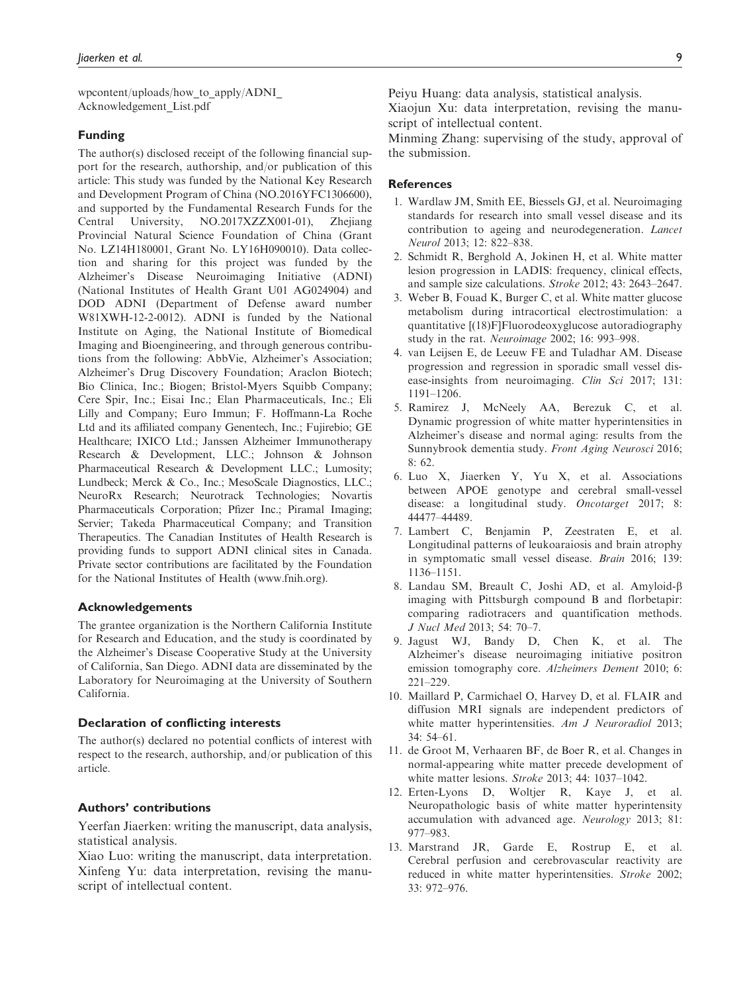[wpcontent/uploads/how\\_to\\_apply/ADNI\\_](http://adni.loni.usc.edu/wpcontent/uploads/how_to_apply/ADNI_Acknowledgement_List.pdf) [Acknowledgement\\_List.pdf](http://adni.loni.usc.edu/wpcontent/uploads/how_to_apply/ADNI_Acknowledgement_List.pdf)

### Funding

The author(s) disclosed receipt of the following financial support for the research, authorship, and/or publication of this article: This study was funded by the National Key Research and Development Program of China (NO.2016YFC1306600), and supported by the Fundamental Research Funds for the Central University, NO.2017XZZX001-01), Zhejiang Provincial Natural Science Foundation of China (Grant No. LZ14H180001, Grant No. LY16H090010). Data collection and sharing for this project was funded by the Alzheimer's Disease Neuroimaging Initiative (ADNI) (National Institutes of Health Grant U01 AG024904) and DOD ADNI (Department of Defense award number W81XWH-12-2-0012). ADNI is funded by the National Institute on Aging, the National Institute of Biomedical Imaging and Bioengineering, and through generous contributions from the following: AbbVie, Alzheimer's Association; Alzheimer's Drug Discovery Foundation; Araclon Biotech; Bio Clinica, Inc.; Biogen; Bristol-Myers Squibb Company; Cere Spir, Inc.; Eisai Inc.; Elan Pharmaceuticals, Inc.; Eli Lilly and Company; Euro Immun; F. Hoffmann-La Roche Ltd and its affiliated company Genentech, Inc.; Fujirebio; GE Healthcare; IXICO Ltd.; Janssen Alzheimer Immunotherapy Research & Development, LLC.; Johnson & Johnson Pharmaceutical Research & Development LLC.; Lumosity; Lundbeck; Merck & Co., Inc.; MesoScale Diagnostics, LLC.; NeuroRx Research; Neurotrack Technologies; Novartis Pharmaceuticals Corporation; Pfizer Inc.; Piramal Imaging; Servier; Takeda Pharmaceutical Company; and Transition Therapeutics. The Canadian Institutes of Health Research is providing funds to support ADNI clinical sites in Canada. Private sector contributions are facilitated by the Foundation for the National Institutes of Health [\(www.fnih.org](www.fnih.org)).

#### Acknowledgements

The grantee organization is the Northern California Institute for Research and Education, and the study is coordinated by the Alzheimer's Disease Cooperative Study at the University of California, San Diego. ADNI data are disseminated by the Laboratory for Neuroimaging at the University of Southern California.

#### Declaration of conflicting interests

The author(s) declared no potential conflicts of interest with respect to the research, authorship, and/or publication of this article.

## Authors' contributions

Yeerfan Jiaerken: writing the manuscript, data analysis, statistical analysis.

Xiao Luo: writing the manuscript, data interpretation. Xinfeng Yu: data interpretation, revising the manuscript of intellectual content.

Peiyu Huang: data analysis, statistical analysis.

Xiaojun Xu: data interpretation, revising the manuscript of intellectual content.

Minming Zhang: supervising of the study, approval of the submission.

## References

- 1. Wardlaw JM, Smith EE, Biessels GJ, et al. Neuroimaging standards for research into small vessel disease and its contribution to ageing and neurodegeneration. Lancet Neurol 2013; 12: 822–838.
- 2. Schmidt R, Berghold A, Jokinen H, et al. White matter lesion progression in LADIS: frequency, clinical effects, and sample size calculations. Stroke 2012; 43: 2643–2647.
- 3. Weber B, Fouad K, Burger C, et al. White matter glucose metabolism during intracortical electrostimulation: a quantitative [(18)F]Fluorodeoxyglucose autoradiography study in the rat. Neuroimage 2002; 16: 993–998.
- 4. van Leijsen E, de Leeuw FE and Tuladhar AM. Disease progression and regression in sporadic small vessel disease-insights from neuroimaging. Clin Sci 2017; 131: 1191–1206.
- 5. Ramirez J, McNeely AA, Berezuk C, et al. Dynamic progression of white matter hyperintensities in Alzheimer's disease and normal aging: results from the Sunnybrook dementia study. Front Aging Neurosci 2016; 8: 62.
- 6. Luo X, Jiaerken Y, Yu X, et al. Associations between APOE genotype and cerebral small-vessel disease: a longitudinal study. Oncotarget 2017; 8: 44477–44489.
- 7. Lambert C, Benjamin P, Zeestraten E, et al. Longitudinal patterns of leukoaraiosis and brain atrophy in symptomatic small vessel disease. Brain 2016; 139: 1136–1151.
- 8. Landau SM, Breault C, Joshi AD, et al. Amyloid-b imaging with Pittsburgh compound B and florbetapir: comparing radiotracers and quantification methods. J Nucl Med 2013; 54: 70–7.
- 9. Jagust WJ, Bandy D, Chen K, et al. The Alzheimer's disease neuroimaging initiative positron emission tomography core. Alzheimers Dement 2010; 6: 221–229.
- 10. Maillard P, Carmichael O, Harvey D, et al. FLAIR and diffusion MRI signals are independent predictors of white matter hyperintensities. Am J Neuroradiol 2013;  $34.54 - 61$
- 11. de Groot M, Verhaaren BF, de Boer R, et al. Changes in normal-appearing white matter precede development of white matter lesions. Stroke 2013; 44: 1037–1042.
- 12. Erten-Lyons D, Woltjer R, Kaye J, et al. Neuropathologic basis of white matter hyperintensity accumulation with advanced age. Neurology 2013; 81: 977–983.
- 13. Marstrand JR, Garde E, Rostrup E, et al. Cerebral perfusion and cerebrovascular reactivity are reduced in white matter hyperintensities. Stroke 2002; 33: 972–976.